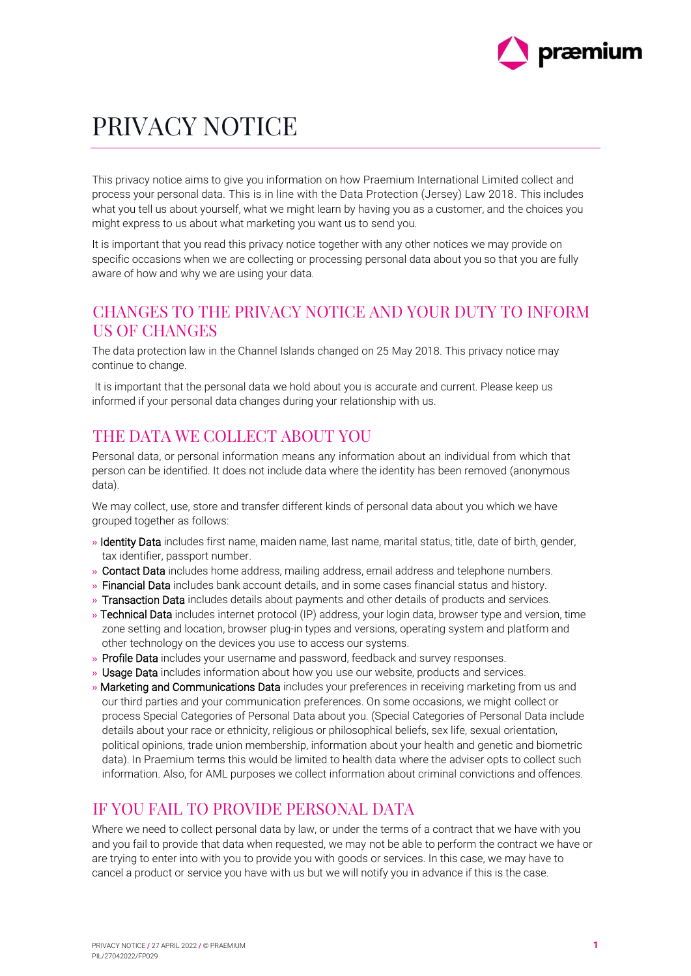

# PRIVACY NOTICE

This privacy notice aims to give you information on how Praemium International Limited collect and process your personal data. This is in line with the Data Protection (Jersey) Law 2018. This includes what you tell us about yourself, what we might learn by having you as a customer, and the choices you might express to us about what marketing you want us to send you.

It is important that you read this privacy notice together with any other notices we may provide on specific occasions when we are collecting or processing personal data about you so that you are fully aware of how and why we are using your data.

## CHANGES TO THE PRIVACY NOTICE AND YOUR DUTY TO INFORM US OF CHANGES

The data protection law in the Channel Islands changed on 25 May 2018. This privacy notice may continue to change.

It is important that the personal data we hold about you is accurate and current. Please keep us informed if your personal data changes during your relationship with us.

# THE DATA WE COLLECT ABOUT YOU

Personal data, or personal information means any information about an individual from which that person can be identified. It does not include data where the identity has been removed (anonymous data).

We may collect, use, store and transfer different kinds of personal data about you which we have grouped together as follows:

- » Identity Data includes first name, maiden name, last name, marital status, title, date of birth, gender, tax identifier, passport number.
- » Contact Data includes home address, mailing address, email address and telephone numbers.
- » **Financial Data** includes bank account details, and in some cases financial status and history.
- » Transaction Data includes details about payments and other details of products and services.
- » Technical Data includes internet protocol (IP) address, your login data, browser type and version, time zone setting and location, browser plug-in types and versions, operating system and platform and other technology on the devices you use to access our systems.
- » Profile Data includes your username and password, feedback and survey responses.
- » Usage Data includes information about how you use our website, products and services.
- » Marketing and Communications Data includes your preferences in receiving marketing from us and our third parties and your communication preferences. On some occasions, we might collect or process Special Categories of Personal Data about you. (Special Categories of Personal Data include details about your race or ethnicity, religious or philosophical beliefs, sex life, sexual orientation, political opinions, trade union membership, information about your health and genetic and biometric data). In Praemium terms this would be limited to health data where the adviser opts to collect such information. Also, for AML purposes we collect information about criminal convictions and offences.

## IF YOU FAIL TO PROVIDE PERSONAL DATA

Where we need to collect personal data by law, or under the terms of a contract that we have with you and you fail to provide that data when requested, we may not be able to perform the contract we have or are trying to enter into with you to provide you with goods or services. In this case, we may have to cancel a product or service you have with us but we will notify you in advance if this is the case.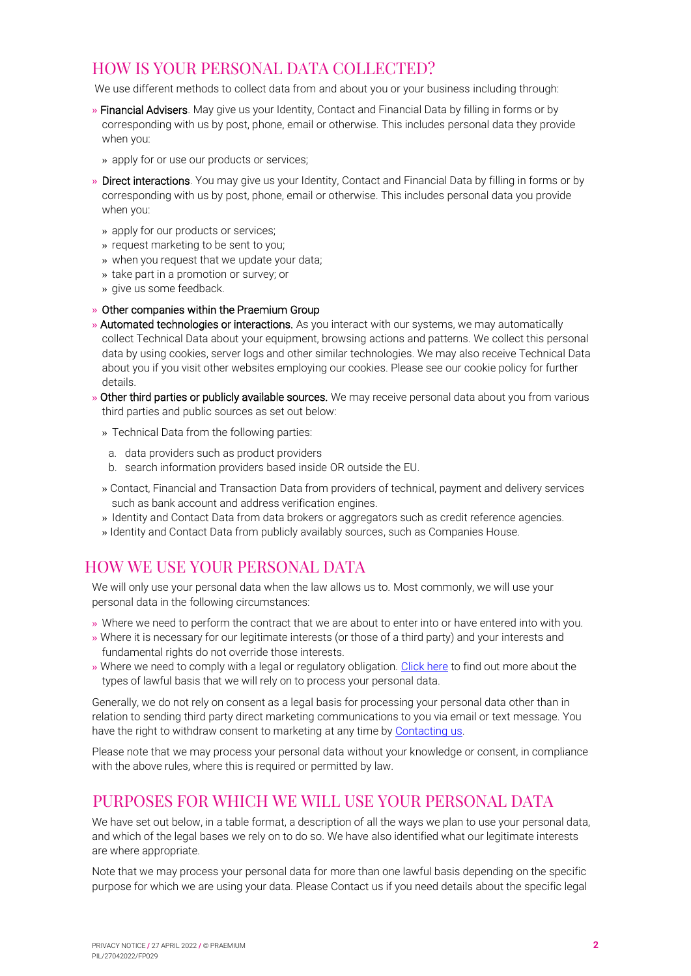# HOW IS YOUR PERSONAL DATA COLLECTED?

We use different methods to collect data from and about you or your business including through:

» Financial Advisers. May give us your Identity, Contact and Financial Data by filling in forms or by corresponding with us by post, phone, email or otherwise. This includes personal data they provide when you:

» apply for or use our products or services;

- » Direct interactions. You may give us your Identity, Contact and Financial Data by filling in forms or by corresponding with us by post, phone, email or otherwise. This includes personal data you provide when you:
	- » apply for our products or services;
	- » request marketing to be sent to you;
	- » when you request that we update your data;
	- » take part in a promotion or survey; or
	- » give us some feedback.

#### » Other companies within the Praemium Group

- » Automated technologies or interactions. As you interact with our systems, we may automatically collect Technical Data about your equipment, browsing actions and patterns. We collect this personal data by using cookies, server logs and other similar technologies. We may also receive Technical Data about you if you visit other websites employing our cookies. Please see our cookie policy for further details.
- » Other third parties or publicly available sources. We may receive personal data about you from various third parties and public sources as set out below:
	- » Technical Data from the following parties:
		- a. data providers such as product providers
	- b. search information providers based inside OR outside the EU.
	- » Contact, Financial and Transaction Data from providers of technical, payment and delivery services such as bank account and address verification engines.
	- » Identity and Contact Data from data brokers or aggregators such as credit reference agencies.
	- » Identity and Contact Data from publicly availably sources, such as Companies House.

# HOW WE USE YOUR PERSONAL DATA

We will only use your personal data when the law allows us to. Most commonly, we will use your personal data in the following circumstances:

- » Where we need to perform the contract that we are about to enter into or have entered into with you.
- » Where it is necessary for our legitimate interests (or those of a third party) and your interests and fundamental rights do not override those interests.
- » Where we need to comply with a legal or regulatory obligation. [Click here](https://jerseyoic.org/resource-room/principles/?audience=everything) to find out more about the types of lawful basis that we will rely on to process your personal data.

Generally, we do not rely on consent as a legal basis for processing your personal data other than in relation to sending third party direct marketing communications to you via email or text message. You have the right to withdraw consent to marketing at any time by [Contacting](mailto:DataProtectionManager@Praemium.com) us.

Please note that we may process your personal data without your knowledge or consent, in compliance with the above rules, where this is required or permitted by law.

## PURPOSES FOR WHICH WE WILL USE YOUR PERSONAL DATA

We have set out below, in a table format, a description of all the ways we plan to use your personal data, and which of the legal bases we rely on to do so. We have also identified what our legitimate interests are where appropriate.

Note that we may process your personal data for more than one lawful basis depending on the specific purpose for which we are using your data. Please Contact us if you need details about the specific legal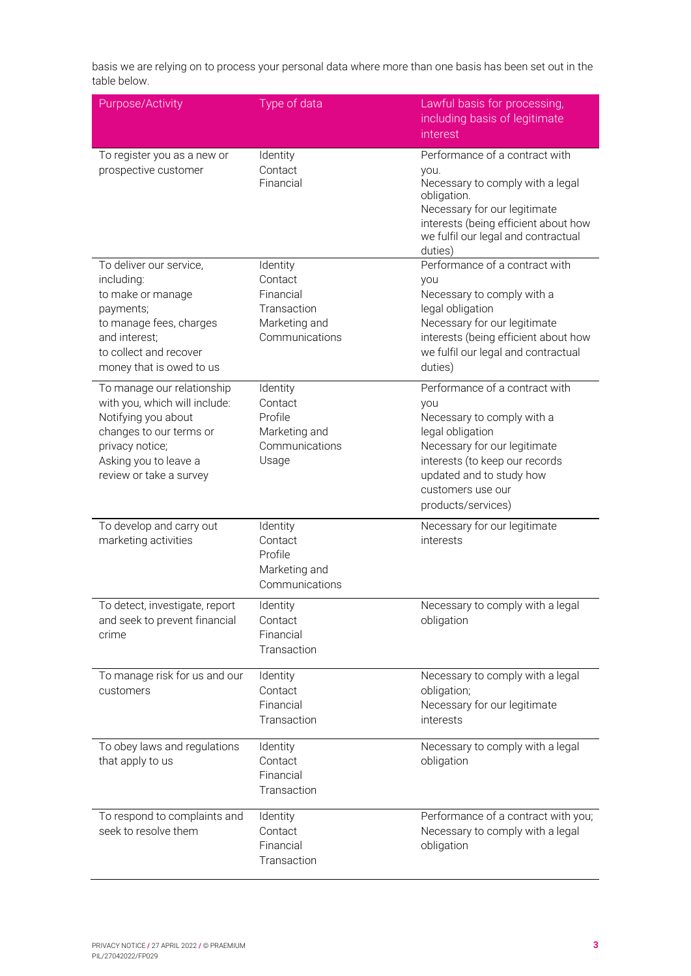basis we are relying on to process your personal data where more than one basis has been set out in the table below.

| <b>Purpose/Activity</b>                                                                                                                                                              | Type of data                                                                       | Lawful basis for processing,<br>including basis of legitimate<br>interest                                                                                                                                                        |
|--------------------------------------------------------------------------------------------------------------------------------------------------------------------------------------|------------------------------------------------------------------------------------|----------------------------------------------------------------------------------------------------------------------------------------------------------------------------------------------------------------------------------|
| To register you as a new or<br>prospective customer                                                                                                                                  | Identity<br>Contact<br>Financial                                                   | Performance of a contract with<br>VOU.<br>Necessary to comply with a legal<br>obligation.<br>Necessary for our legitimate<br>interests (being efficient about how<br>we fulfil our legal and contractual<br>duties)              |
| To deliver our service,<br>including:<br>to make or manage<br>payments;<br>to manage fees, charges<br>and interest;<br>to collect and recover<br>money that is owed to us            | Identity<br>Contact<br>Financial<br>Transaction<br>Marketing and<br>Communications | Performance of a contract with<br>you<br>Necessary to comply with a<br>legal obligation<br>Necessary for our legitimate<br>interests (being efficient about how<br>we fulfil our legal and contractual<br>duties)                |
| To manage our relationship<br>with you, which will include:<br>Notifying you about<br>changes to our terms or<br>privacy notice;<br>Asking you to leave a<br>review or take a survey | Identity<br>Contact<br>Profile<br>Marketing and<br>Communications<br>Usage         | Performance of a contract with<br>you<br>Necessary to comply with a<br>legal obligation<br>Necessary for our legitimate<br>interests (to keep our records<br>updated and to study how<br>customers use our<br>products/services) |
| To develop and carry out<br>marketing activities                                                                                                                                     | Identity<br>Contact<br>Profile<br>Marketing and<br>Communications                  | Necessary for our legitimate<br>interests                                                                                                                                                                                        |
| To detect, investigate, report<br>and seek to prevent financial<br>crime                                                                                                             | Identity<br>Contact<br>Financial<br>Transaction                                    | Necessary to comply with a legal<br>obligation                                                                                                                                                                                   |
| To manage risk for us and our<br>customers                                                                                                                                           | Identity<br>Contact<br>Financial<br>Transaction                                    | Necessary to comply with a legal<br>obligation;<br>Necessary for our legitimate<br>interests                                                                                                                                     |
| To obey laws and regulations<br>that apply to us                                                                                                                                     | Identity<br>Contact<br>Financial<br>Transaction                                    | Necessary to comply with a legal<br>obligation                                                                                                                                                                                   |
| To respond to complaints and<br>seek to resolve them                                                                                                                                 | Identity<br>Contact<br>Financial<br>Transaction                                    | Performance of a contract with you;<br>Necessary to comply with a legal<br>obligation                                                                                                                                            |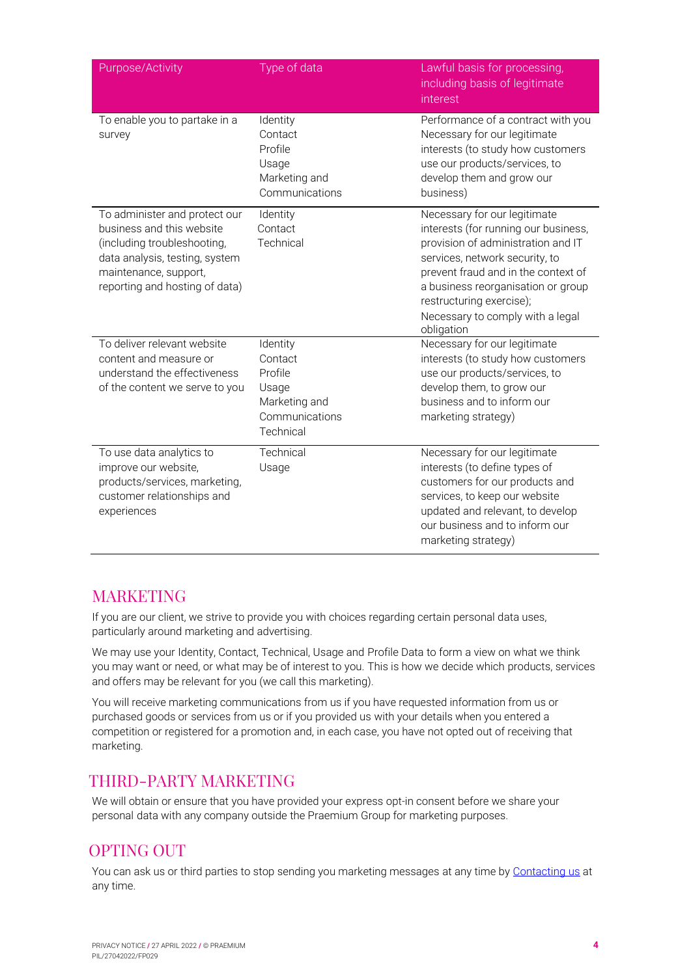| <b>Purpose/Activity</b>                                                                                                                                                                | Type of data                                                                            | Lawful basis for processing,<br>including basis of legitimate<br>interest                                                                                                                                                                                                                               |
|----------------------------------------------------------------------------------------------------------------------------------------------------------------------------------------|-----------------------------------------------------------------------------------------|---------------------------------------------------------------------------------------------------------------------------------------------------------------------------------------------------------------------------------------------------------------------------------------------------------|
| To enable you to partake in a<br>survey                                                                                                                                                | Identity<br>Contact<br>Profile<br>Usage<br>Marketing and<br>Communications              | Performance of a contract with you<br>Necessary for our legitimate<br>interests (to study how customers<br>use our products/services, to<br>develop them and grow our<br>business)                                                                                                                      |
| To administer and protect our<br>business and this website<br>(including troubleshooting,<br>data analysis, testing, system<br>maintenance, support,<br>reporting and hosting of data) | Identity<br>Contact<br>Technical                                                        | Necessary for our legitimate<br>interests (for running our business,<br>provision of administration and IT<br>services, network security, to<br>prevent fraud and in the context of<br>a business reorganisation or group<br>restructuring exercise);<br>Necessary to comply with a legal<br>obligation |
| To deliver relevant website<br>content and measure or<br>understand the effectiveness<br>of the content we serve to you                                                                | Identity<br>Contact<br>Profile<br>Usage<br>Marketing and<br>Communications<br>Technical | Necessary for our legitimate<br>interests (to study how customers<br>use our products/services, to<br>develop them, to grow our<br>business and to inform our<br>marketing strategy)                                                                                                                    |
| To use data analytics to<br>improve our website,<br>products/services, marketing,<br>customer relationships and<br>experiences                                                         | Technical<br>Usage                                                                      | Necessary for our legitimate<br>interests (to define types of<br>customers for our products and<br>services, to keep our website<br>updated and relevant, to develop<br>our business and to inform our<br>marketing strategy)                                                                           |

# MARKETING

If you are our client, we strive to provide you with choices regarding certain personal data uses, particularly around marketing and advertising.

We may use your Identity, Contact, Technical, Usage and Profile Data to form a view on what we think you may want or need, or what may be of interest to you. This is how we decide which products, services and offers may be relevant for you (we call this marketing).

You will receive marketing communications from us if you have requested information from us or purchased goods or services from us or if you provided us with your details when you entered a competition or registered for a promotion and, in each case, you have not opted out of receiving that marketing.

# THIRD-PARTY MARKETING

We will obtain or ensure that you have provided your express opt-in consent before we share your personal data with any company outside the Praemium Group for marketing purposes.

# OPTING OUT

You can ask us or third parties to stop sending you marketing messages at any time by [Contacting](mailto:DataProtectionManager@Praemium.com) us at any time.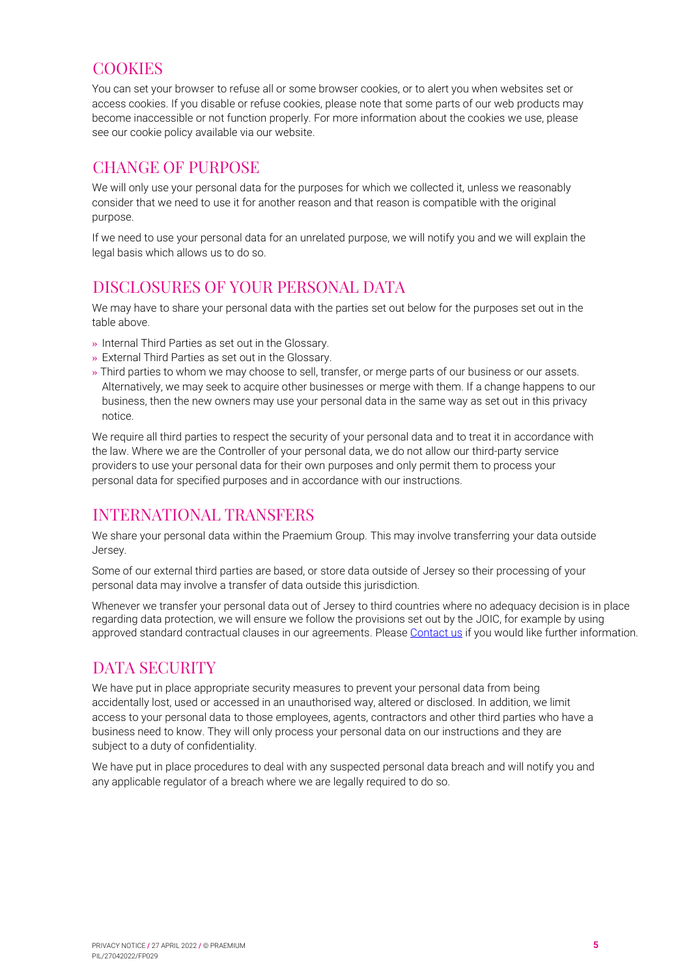## **COOKIES**

You can set your browser to refuse all or some browser cookies, or to alert you when websites set or access cookies. If you disable or refuse cookies, please note that some parts of our web products may become inaccessible or not function properly. For more information about the cookies we use, please see our cookie policy available via our website.

# CHANGE OF PURPOSE

We will only use your personal data for the purposes for which we collected it, unless we reasonably consider that we need to use it for another reason and that reason is compatible with the original purpose.

If we need to use your personal data for an unrelated purpose, we will notify you and we will explain the legal basis which allows us to do so.

## DISCLOSURES OF YOUR PERSONAL DATA

We may have to share your personal data with the parties set out below for the purposes set out in the table above.

- » Internal Third Parties as set out in the Glossary.
- » External Third Parties as set out in the Glossary.
- » Third parties to whom we may choose to sell, transfer, or merge parts of our business or our assets. Alternatively, we may seek to acquire other businesses or merge with them. If a change happens to our business, then the new owners may use your personal data in the same way as set out in this privacy notice.

We require all third parties to respect the security of your personal data and to treat it in accordance with the law. Where we are the Controller of your personal data, we do not allow our third-party service providers to use your personal data for their own purposes and only permit them to process your personal data for specified purposes and in accordance with our instructions.

# INTERNATIONAL TRANSFERS

We share your personal data within the Praemium Group. This may involve transferring your data outside Jersey.

Some of our external third parties are based, or store data outside of Jersey so their processing of your personal data may involve a transfer of data outside this jurisdiction.

Whenever we transfer your personal data out of Jersey to third countries where no adequacy decision is in place regarding data protection, we will ensure we follow the provisions set out by the JOIC, for example by using approved standard contractual clauses in our agreements. Pleas[e Contact](mailto:DataProtectionManager@Praemium.com) us if you would like further information.

# DATA SECURITY

We have put in place appropriate security measures to prevent your personal data from being accidentally lost, used or accessed in an unauthorised way, altered or disclosed. In addition, we limit access to your personal data to those employees, agents, contractors and other third parties who have a business need to know. They will only process your personal data on our instructions and they are subject to a duty of confidentiality.

We have put in place procedures to deal with any suspected personal data breach and will notify you and any applicable regulator of a breach where we are legally required to do so.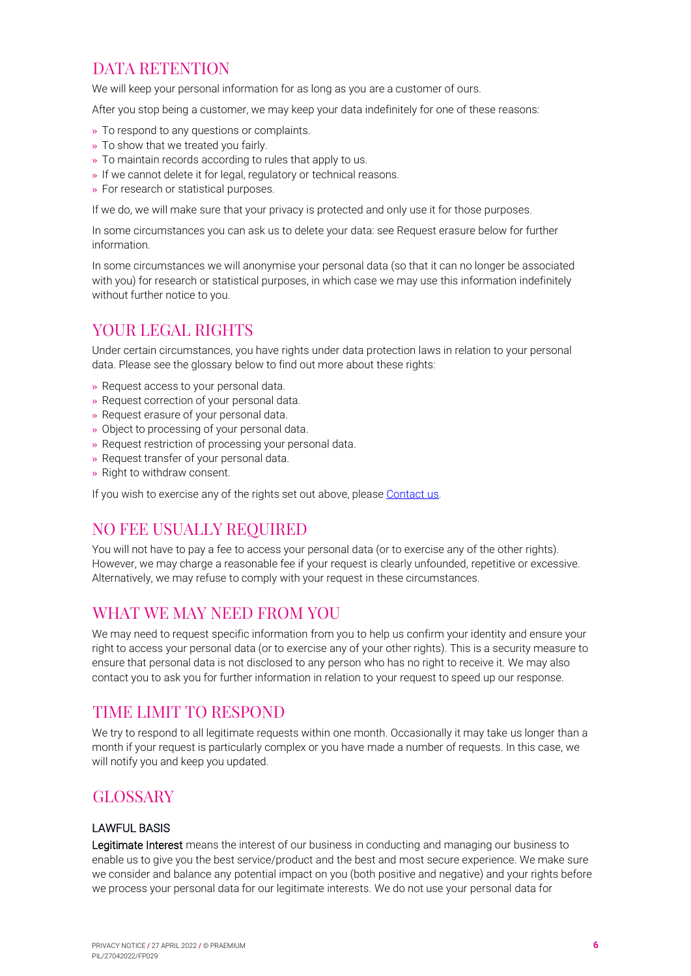## DATA RETENTION

We will keep your personal information for as long as you are a customer of ours.

After you stop being a customer, we may keep your data indefinitely for one of these reasons:

- » To respond to any questions or complaints.
- » To show that we treated you fairly.
- » To maintain records according to rules that apply to us.
- » If we cannot delete it for legal, regulatory or technical reasons.
- » For research or statistical purposes.

If we do, we will make sure that your privacy is protected and only use it for those purposes.

In some circumstances you can ask us to delete your data: see Request erasure below for further information.

In some circumstances we will anonymise your personal data (so that it can no longer be associated with you) for research or statistical purposes, in which case we may use this information indefinitely without further notice to you.

# YOUR LEGAL RIGHTS

Under certain circumstances, you have rights under data protection laws in relation to your personal data. Please see the glossary below to find out more about these rights:

- » Request access to your personal data.
- » Request correction of your personal data.
- » Request erasure of your personal data.
- » Object to processing of your personal data.
- » Request restriction of processing your personal data.
- » Request transfer of your personal data.
- » Right to withdraw consent.

If you wish to exercise any of the rights set out above, please [Contact](mailto:DataProtectionManager@Praemium.com) us.

## NO FEE USUALLY REQUIRED

You will not have to pay a fee to access your personal data (or to exercise any of the other rights). However, we may charge a reasonable fee if your request is clearly unfounded, repetitive or excessive. Alternatively, we may refuse to comply with your request in these circumstances.

## WHAT WE MAY NEED FROM YOU

We may need to request specific information from you to help us confirm your identity and ensure your right to access your personal data (or to exercise any of your other rights). This is a security measure to ensure that personal data is not disclosed to any person who has no right to receive it. We may also contact you to ask you for further information in relation to your request to speed up our response.

## TIME LIMIT TO RESPOND

We try to respond to all legitimate requests within one month. Occasionally it may take us longer than a month if your request is particularly complex or you have made a number of requests. In this case, we will notify you and keep you updated.

# GLOSSARY

#### LAWFUL BASIS

Legitimate Interest means the interest of our business in conducting and managing our business to enable us to give you the best service/product and the best and most secure experience. We make sure we consider and balance any potential impact on you (both positive and negative) and your rights before we process your personal data for our legitimate interests. We do not use your personal data for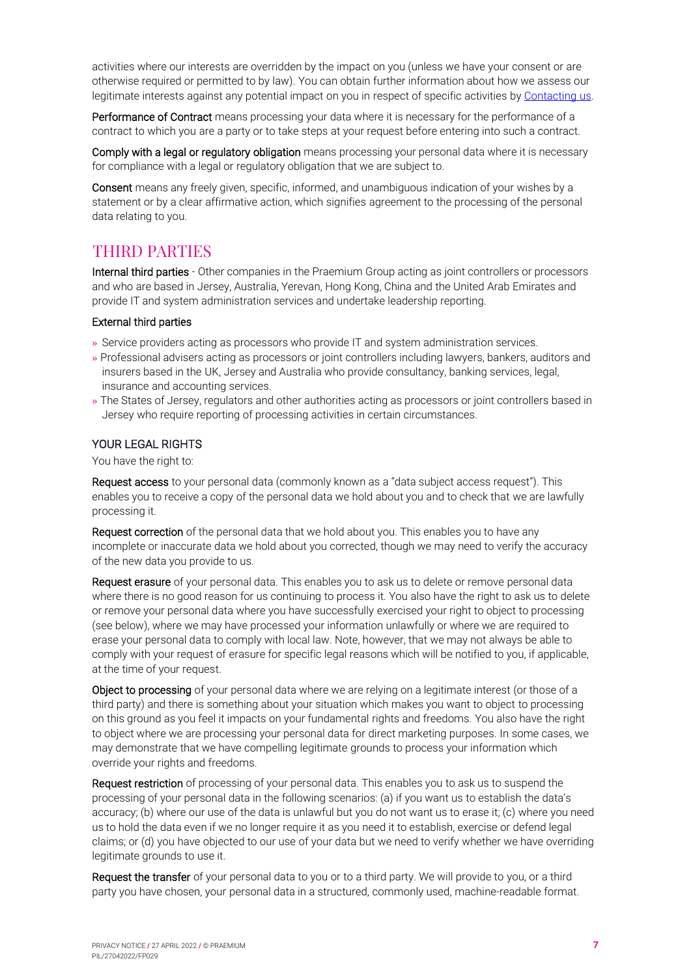activities where our interests are overridden by the impact on you (unless we have your consent or are otherwise required or permitted to by law). You can obtain further information about how we assess our legitimate interests against any potential impact on you in respect of specific activities by [Contacting](mailto:DataProtectionManager@Praemium.com) us.

Performance of Contract means processing your data where it is necessary for the performance of a contract to which you are a party or to take steps at your request before entering into such a contract.

Comply with a legal or regulatory obligation means processing your personal data where it is necessary for compliance with a legal or regulatory obligation that we are subject to.

Consent means any freely given, specific, informed, and unambiguous indication of your wishes by a statement or by a clear affirmative action, which signifies agreement to the processing of the personal data relating to you.

## THIRD PARTIES

Internal third parties - Other companies in the Praemium Group acting as joint controllers or processors and who are based in Jersey, Australia, Yerevan, Hong Kong, China and the United Arab Emirates and provide IT and system administration services and undertake leadership reporting.

#### External third parties

- » Service providers acting as processors who provide IT and system administration services.
- » Professional advisers acting as processors or joint controllers including lawyers, bankers, auditors and insurers based in the UK, Jersey and Australia who provide consultancy, banking services, legal, insurance and accounting services.
- » The States of Jersey, regulators and other authorities acting as processors or joint controllers based in Jersey who require reporting of processing activities in certain circumstances.

#### YOUR LEGAL RIGHTS

You have the right to:

Request access to your personal data (commonly known as a "data subject access request"). This enables you to receive a copy of the personal data we hold about you and to check that we are lawfully processing it.

Request correction of the personal data that we hold about you. This enables you to have any incomplete or inaccurate data we hold about you corrected, though we may need to verify the accuracy of the new data you provide to us.

Request erasure of your personal data. This enables you to ask us to delete or remove personal data where there is no good reason for us continuing to process it. You also have the right to ask us to delete or remove your personal data where you have successfully exercised your right to object to processing (see below), where we may have processed your information unlawfully or where we are required to erase your personal data to comply with local law. Note, however, that we may not always be able to comply with your request of erasure for specific legal reasons which will be notified to you, if applicable, at the time of your request.

Object to processing of your personal data where we are relying on a legitimate interest (or those of a third party) and there is something about your situation which makes you want to object to processing on this ground as you feel it impacts on your fundamental rights and freedoms. You also have the right to object where we are processing your personal data for direct marketing purposes. In some cases, we may demonstrate that we have compelling legitimate grounds to process your information which override your rights and freedoms.

Request restriction of processing of your personal data. This enables you to ask us to suspend the processing of your personal data in the following scenarios: (a) if you want us to establish the data's accuracy; (b) where our use of the data is unlawful but you do not want us to erase it; (c) where you need us to hold the data even if we no longer require it as you need it to establish, exercise or defend legal claims; or (d) you have objected to our use of your data but we need to verify whether we have overriding legitimate grounds to use it.

Request the transfer of your personal data to you or to a third party. We will provide to you, or a third party you have chosen, your personal data in a structured, commonly used, machine-readable format.